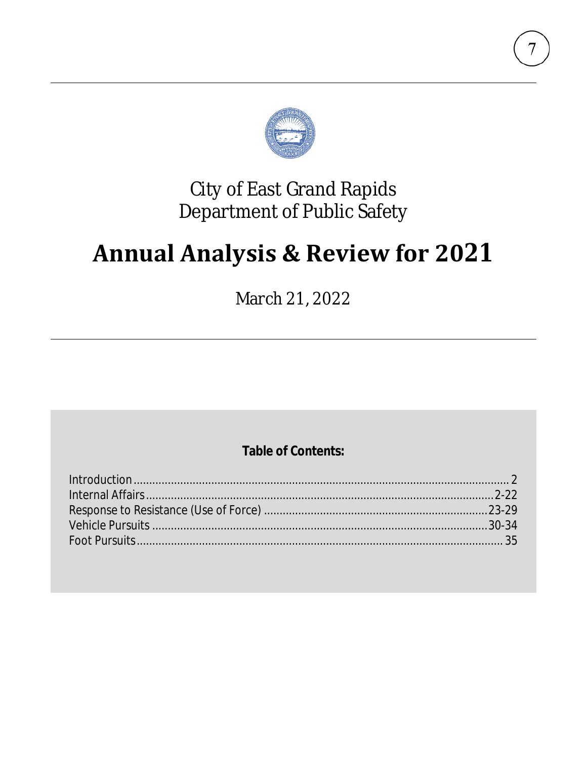

## **City of East Grand Rapids** Department of Public Safety

# **Annual Analysis & Review for 2021**

March 21, 2022

## **Table of Contents:**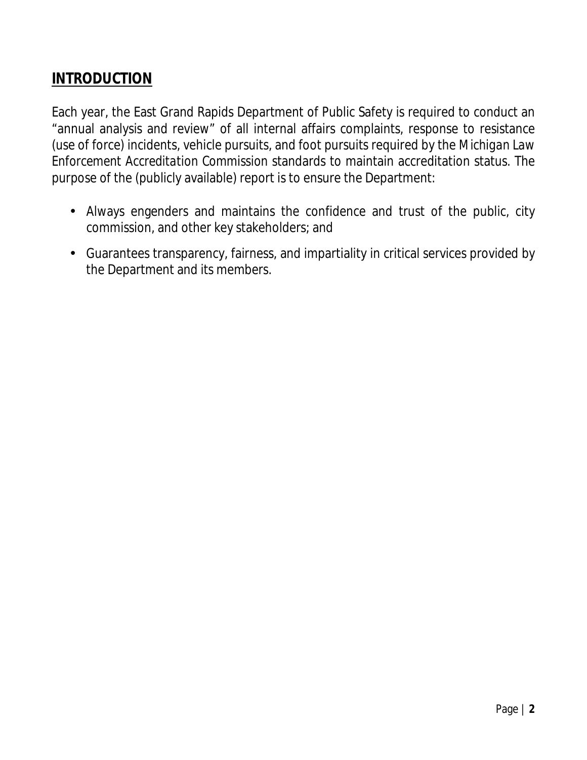## **INTRODUCTION**

Each year, the East Grand Rapids Department of Public Safety is required to conduct an "annual analysis and review" of all internal affairs complaints, response to resistance (use of force) incidents, vehicle pursuits, and foot pursuits required by the *Michigan Law Enforcement Accreditation Commission* standards to maintain accreditation status. The purpose of the (publicly available) report is to ensure the Department:

- Always engenders and maintains the confidence and trust of the public, city commission, and other key stakeholders; and
- Guarantees transparency, fairness, and impartiality in critical services provided by the Department and its members.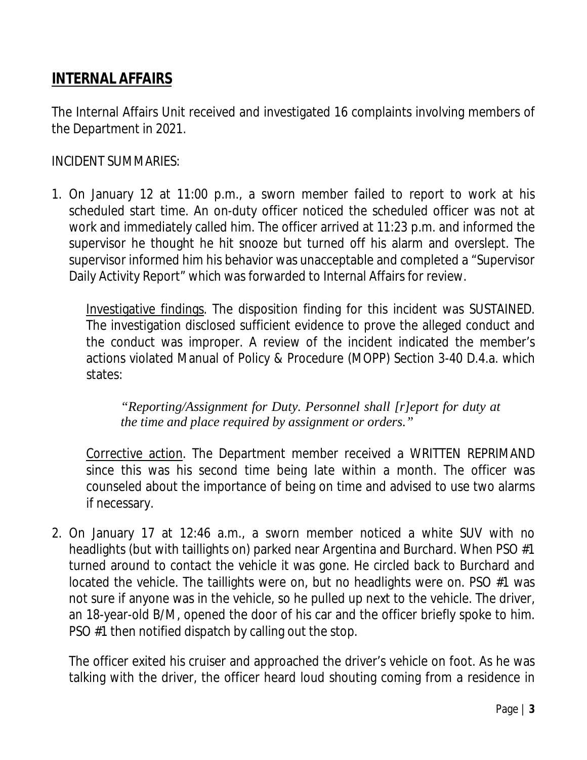## **INTERNAL AFFAIRS**

The Internal Affairs Unit received and investigated 16 complaints involving members of the Department in 2021.

INCIDENT SUMMARIES:

1. On January 12 at 11:00 p.m., a sworn member failed to report to work at his scheduled start time. An on-duty officer noticed the scheduled officer was not at work and immediately called him. The officer arrived at 11:23 p.m. and informed the supervisor he thought he hit snooze but turned off his alarm and overslept. The supervisor informed him his behavior was unacceptable and completed a "Supervisor Daily Activity Report" which was forwarded to Internal Affairs for review.

Investigative findings. The disposition finding for this incident was SUSTAINED. The investigation disclosed sufficient evidence to prove the alleged conduct and the conduct was improper. A review of the incident indicated the member's actions violated Manual of Policy & Procedure (MOPP) Section 3-40 D.4.a. which states:

*"Reporting/Assignment for Duty. Personnel shall [r]eport for duty at the time and place required by assignment or orders."*

Corrective action. The Department member received a WRITTEN REPRIMAND since this was his second time being late within a month. The officer was counseled about the importance of being on time and advised to use two alarms if necessary.

2. On January 17 at 12:46 a.m., a sworn member noticed a white SUV with no headlights (but with taillights on) parked near Argentina and Burchard. When PSO #1 turned around to contact the vehicle it was gone. He circled back to Burchard and located the vehicle. The taillights were on, but no headlights were on. PSO #1 was not sure if anyone was in the vehicle, so he pulled up next to the vehicle. The driver, an 18-year-old B/M, opened the door of his car and the officer briefly spoke to him. PSO #1 then notified dispatch by calling out the stop.

The officer exited his cruiser and approached the driver's vehicle on foot. As he was talking with the driver, the officer heard loud shouting coming from a residence in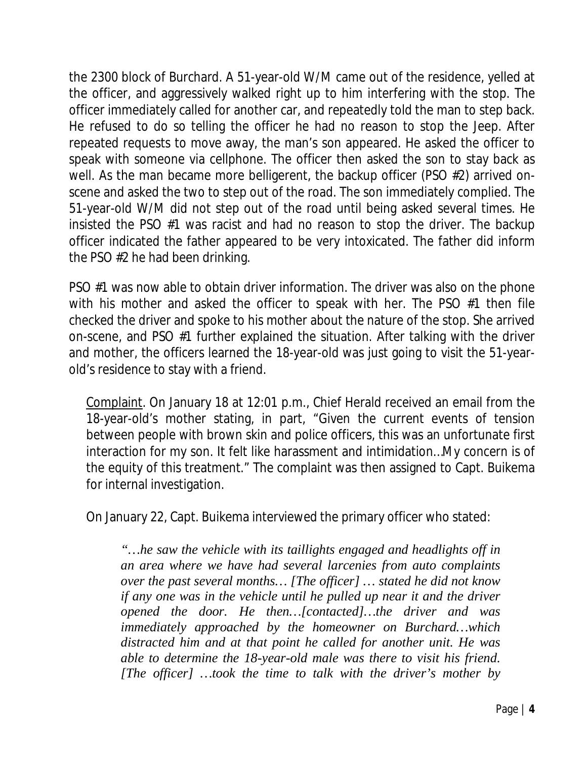the 2300 block of Burchard. A 51-year-old W/M came out of the residence, yelled at the officer, and aggressively walked right up to him interfering with the stop. The officer immediately called for another car, and repeatedly told the man to step back. He refused to do so telling the officer he had no reason to stop the Jeep. After repeated requests to move away, the man's son appeared. He asked the officer to speak with someone via cellphone. The officer then asked the son to stay back as well. As the man became more belligerent, the backup officer (PSO #2) arrived onscene and asked the two to step out of the road. The son immediately complied. The 51-year-old W/M did not step out of the road until being asked several times. He insisted the PSO #1 was racist and had no reason to stop the driver. The backup officer indicated the father appeared to be very intoxicated. The father did inform the PSO #2 he had been drinking.

PSO #1 was now able to obtain driver information. The driver was also on the phone with his mother and asked the officer to speak with her. The PSO #1 then file checked the driver and spoke to his mother about the nature of the stop. She arrived on-scene, and PSO #1 further explained the situation. After talking with the driver and mother, the officers learned the 18-year-old was just going to visit the 51-yearold's residence to stay with a friend.

Complaint. On January 18 at 12:01 p.m., Chief Herald received an email from the 18-year-old's mother stating, in part, "Given the current events of tension between people with brown skin and police officers, this was an unfortunate first interaction for my son. It felt like harassment and intimidation…My concern is of the equity of this treatment." The complaint was then assigned to Capt. Buikema for internal investigation.

On January 22, Capt. Buikema interviewed the primary officer who stated:

*"…he saw the vehicle with its taillights engaged and headlights off in an area where we have had several larcenies from auto complaints over the past several months… [The officer] … stated he did not know if any one was in the vehicle until he pulled up near it and the driver opened the door. He then…[contacted]…the driver and was immediately approached by the homeowner on Burchard…which distracted him and at that point he called for another unit. He was able to determine the 18-year-old male was there to visit his friend. [The officer] …took the time to talk with the driver's mother by*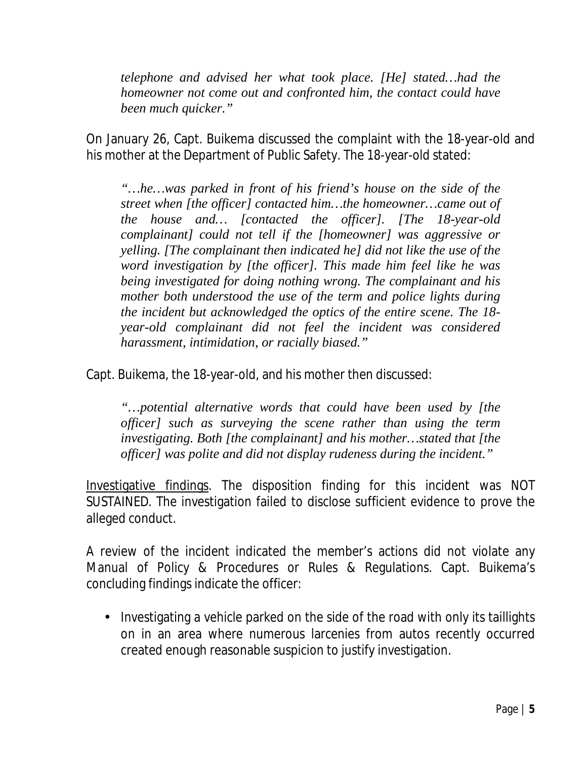*telephone and advised her what took place. [He] stated…had the homeowner not come out and confronted him, the contact could have been much quicker."*

On January 26, Capt. Buikema discussed the complaint with the 18-year-old and his mother at the Department of Public Safety. The 18-year-old stated:

*"…he…was parked in front of his friend's house on the side of the street when [the officer] contacted him…the homeowner…came out of the house and… [contacted the officer]. [The 18-year-old complainant] could not tell if the [homeowner] was aggressive or yelling. [The complainant then indicated he] did not like the use of the word investigation by [the officer]. This made him feel like he was being investigated for doing nothing wrong. The complainant and his mother both understood the use of the term and police lights during the incident but acknowledged the optics of the entire scene. The 18 year-old complainant did not feel the incident was considered harassment, intimidation, or racially biased."*

Capt. Buikema, the 18-year-old, and his mother then discussed:

*"…potential alternative words that could have been used by [the officer] such as surveying the scene rather than using the term investigating. Both [the complainant] and his mother…stated that [the officer] was polite and did not display rudeness during the incident."*

Investigative findings. The disposition finding for this incident was NOT SUSTAINED. The investigation failed to disclose sufficient evidence to prove the alleged conduct.

A review of the incident indicated the member's actions did not violate any Manual of Policy & Procedures or Rules & Regulations. Capt. Buikema's concluding findings indicate the officer:

Investigating a vehicle parked on the side of the road with only its taillights on in an area where numerous larcenies from autos recently occurred created enough reasonable suspicion to justify investigation.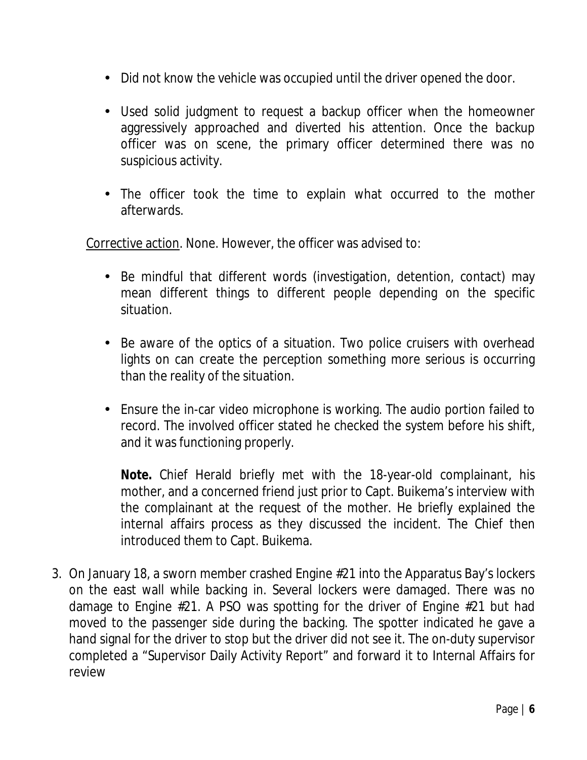- Did not know the vehicle was occupied until the driver opened the door.
- Used solid judgment to request a backup officer when the homeowner aggressively approached and diverted his attention. Once the backup officer was on scene, the primary officer determined there was no suspicious activity.
- The officer took the time to explain what occurred to the mother afterwards.

Corrective action. None. However, the officer was advised to:

- Be mindful that different words (investigation, detention, contact) may mean different things to different people depending on the specific situation.
- Be aware of the optics of a situation. Two police cruisers with overhead lights on can create the perception something more serious is occurring than the reality of the situation.
- Ensure the in-car video microphone is working. The audio portion failed to record. The involved officer stated he checked the system before his shift, and it was functioning properly.

**Note.** Chief Herald briefly met with the 18-year-old complainant, his mother, and a concerned friend just prior to Capt. Buikema's interview with the complainant at the request of the mother. He briefly explained the internal affairs process as they discussed the incident. The Chief then introduced them to Capt. Buikema.

3. On January 18, a sworn member crashed Engine #21 into the Apparatus Bay's lockers on the east wall while backing in. Several lockers were damaged. There was no damage to Engine #21. A PSO was spotting for the driver of Engine #21 but had moved to the passenger side during the backing. The spotter indicated he gave a hand signal for the driver to stop but the driver did not see it. The on-duty supervisor completed a "Supervisor Daily Activity Report" and forward it to Internal Affairs for review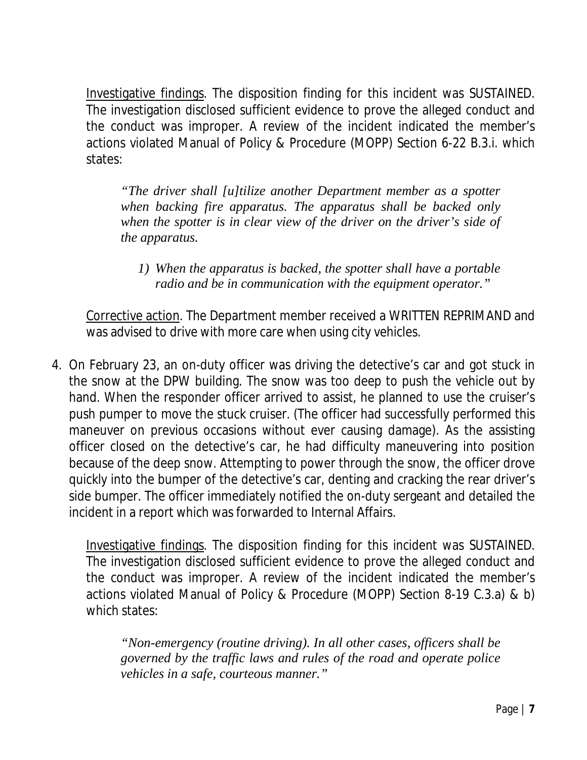Investigative findings. The disposition finding for this incident was SUSTAINED. The investigation disclosed sufficient evidence to prove the alleged conduct and the conduct was improper. A review of the incident indicated the member's actions violated Manual of Policy & Procedure (MOPP) Section 6-22 B.3.i. which states:

*"The driver shall [u]tilize another Department member as a spotter when backing fire apparatus. The apparatus shall be backed only when the spotter is in clear view of the driver on the driver's side of the apparatus.*

*1) When the apparatus is backed, the spotter shall have a portable radio and be in communication with the equipment operator."*

Corrective action. The Department member received a WRITTEN REPRIMAND and was advised to drive with more care when using city vehicles.

4. On February 23, an on-duty officer was driving the detective's car and got stuck in the snow at the DPW building. The snow was too deep to push the vehicle out by hand. When the responder officer arrived to assist, he planned to use the cruiser's push pumper to move the stuck cruiser. (The officer had successfully performed this maneuver on previous occasions without ever causing damage). As the assisting officer closed on the detective's car, he had difficulty maneuvering into position because of the deep snow. Attempting to power through the snow, the officer drove quickly into the bumper of the detective's car, denting and cracking the rear driver's side bumper. The officer immediately notified the on-duty sergeant and detailed the incident in a report which was forwarded to Internal Affairs.

Investigative findings. The disposition finding for this incident was SUSTAINED. The investigation disclosed sufficient evidence to prove the alleged conduct and the conduct was improper. A review of the incident indicated the member's actions violated Manual of Policy & Procedure (MOPP) Section 8-19 C.3.a) & b) which states:

*"Non-emergency (routine driving). In all other cases, officers shall be governed by the traffic laws and rules of the road and operate police vehicles in a safe, courteous manner."*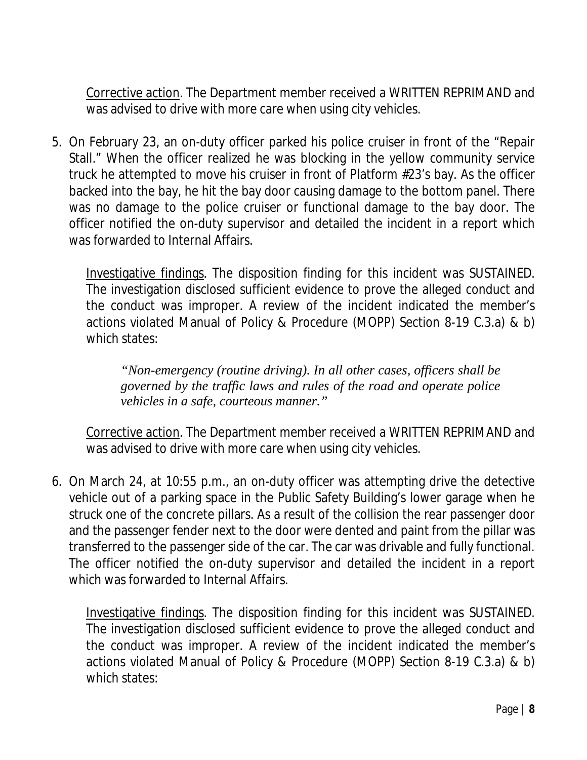Corrective action. The Department member received a WRITTEN REPRIMAND and was advised to drive with more care when using city vehicles.

5. On February 23, an on-duty officer parked his police cruiser in front of the "Repair Stall." When the officer realized he was blocking in the yellow community service truck he attempted to move his cruiser in front of Platform #23's bay. As the officer backed into the bay, he hit the bay door causing damage to the bottom panel. There was no damage to the police cruiser or functional damage to the bay door. The officer notified the on-duty supervisor and detailed the incident in a report which was forwarded to Internal Affairs.

Investigative findings. The disposition finding for this incident was SUSTAINED. The investigation disclosed sufficient evidence to prove the alleged conduct and the conduct was improper. A review of the incident indicated the member's actions violated Manual of Policy & Procedure (MOPP) Section 8-19 C.3.a) & b) which states:

*"Non-emergency (routine driving). In all other cases, officers shall be governed by the traffic laws and rules of the road and operate police vehicles in a safe, courteous manner."*

Corrective action. The Department member received a WRITTEN REPRIMAND and was advised to drive with more care when using city vehicles.

6. On March 24, at 10:55 p.m., an on-duty officer was attempting drive the detective vehicle out of a parking space in the Public Safety Building's lower garage when he struck one of the concrete pillars. As a result of the collision the rear passenger door and the passenger fender next to the door were dented and paint from the pillar was transferred to the passenger side of the car. The car was drivable and fully functional. The officer notified the on-duty supervisor and detailed the incident in a report which was forwarded to Internal Affairs.

Investigative findings. The disposition finding for this incident was SUSTAINED. The investigation disclosed sufficient evidence to prove the alleged conduct and the conduct was improper. A review of the incident indicated the member's actions violated Manual of Policy & Procedure (MOPP) Section 8-19 C.3.a) & b) which states: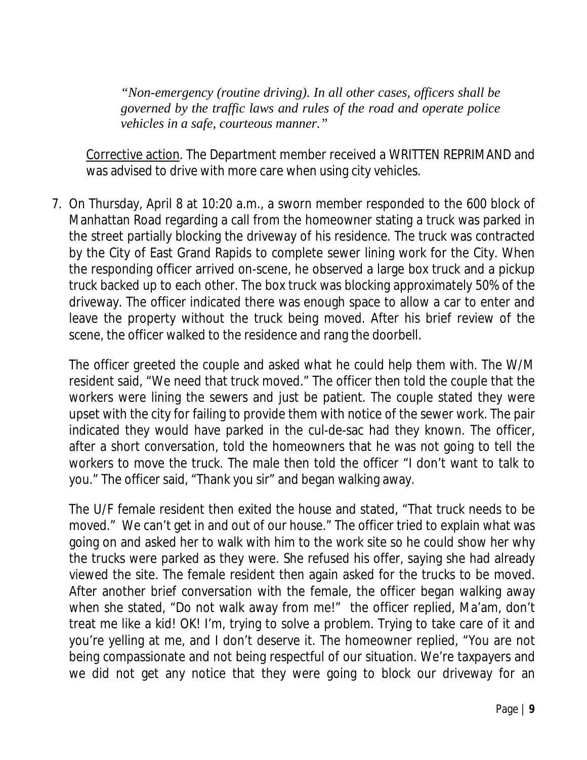*"Non-emergency (routine driving). In all other cases, officers shall be governed by the traffic laws and rules of the road and operate police vehicles in a safe, courteous manner."*

Corrective action. The Department member received a WRITTEN REPRIMAND and was advised to drive with more care when using city vehicles.

7. On Thursday, April 8 at 10:20 a.m., a sworn member responded to the 600 block of Manhattan Road regarding a call from the homeowner stating a truck was parked in the street partially blocking the driveway of his residence. The truck was contracted by the City of East Grand Rapids to complete sewer lining work for the City. When the responding officer arrived on-scene, he observed a large box truck and a pickup truck backed up to each other. The box truck was blocking approximately 50% of the driveway. The officer indicated there was enough space to allow a car to enter and leave the property without the truck being moved. After his brief review of the scene, the officer walked to the residence and rang the doorbell.

The officer greeted the couple and asked what he could help them with. The W/M resident said, "We need that truck moved." The officer then told the couple that the workers were lining the sewers and just be patient. The couple stated they were upset with the city for failing to provide them with notice of the sewer work. The pair indicated they would have parked in the cul-de-sac had they known. The officer, after a short conversation, told the homeowners that he was not going to tell the workers to move the truck. The male then told the officer "I don't want to talk to you." The officer said, "Thank you sir" and began walking away.

The U/F female resident then exited the house and stated, "That truck needs to be moved." We can't get in and out of our house." The officer tried to explain what was going on and asked her to walk with him to the work site so he could show her why the trucks were parked as they were. She refused his offer, saying she had already viewed the site. The female resident then again asked for the trucks to be moved. After another brief conversation with the female, the officer began walking away when she stated, "Do not walk away from me!" the officer replied, Ma'am, don't treat me like a kid! OK! I'm, trying to solve a problem. Trying to take care of it and you're yelling at me, and I don't deserve it. The homeowner replied, "You are not being compassionate and not being respectful of our situation. We're taxpayers and we did not get any notice that they were going to block our driveway for an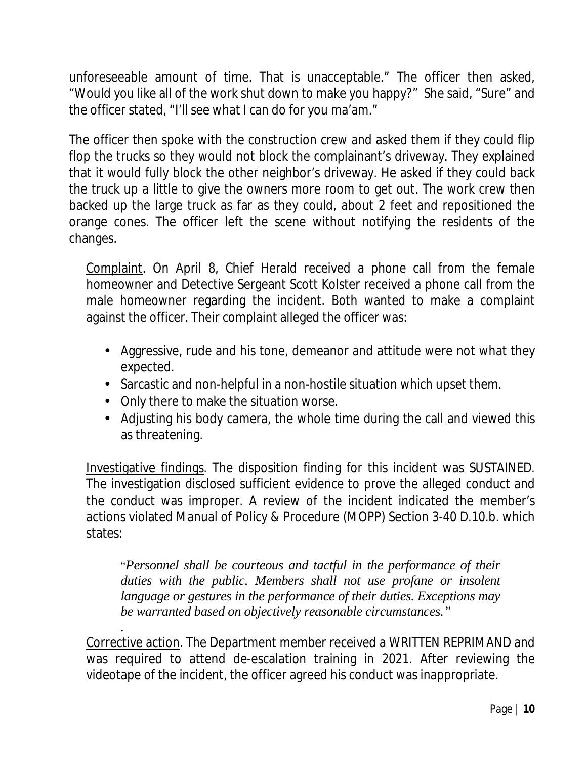unforeseeable amount of time. That is unacceptable." The officer then asked, "Would you like all of the work shut down to make you happy?" She said, "Sure" and the officer stated, "I'll see what I can do for you ma'am."

The officer then spoke with the construction crew and asked them if they could flip flop the trucks so they would not block the complainant's driveway. They explained that it would fully block the other neighbor's driveway. He asked if they could back the truck up a little to give the owners more room to get out. The work crew then backed up the large truck as far as they could, about 2 feet and repositioned the orange cones. The officer left the scene without notifying the residents of the changes.

Complaint. On April 8, Chief Herald received a phone call from the female homeowner and Detective Sergeant Scott Kolster received a phone call from the male homeowner regarding the incident. Both wanted to make a complaint against the officer. Their complaint alleged the officer was:

- Aggressive, rude and his tone, demeanor and attitude were not what they expected.
- Sarcastic and non-helpful in a non-hostile situation which upset them.
- Only there to make the situation worse.
- Adjusting his body camera, the whole time during the call and viewed this as threatening.

Investigative findings. The disposition finding for this incident was SUSTAINED. The investigation disclosed sufficient evidence to prove the alleged conduct and the conduct was improper. A review of the incident indicated the member's actions violated Manual of Policy & Procedure (MOPP) Section 3-40 D.10.b. which states:

"*Personnel shall be courteous and tactful in the performance of their duties with the public. Members shall not use profane or insolent language or gestures in the performance of their duties. Exceptions may be warranted based on objectively reasonable circumstances."*

*.* Corrective action. The Department member received a WRITTEN REPRIMAND and was required to attend de-escalation training in 2021. After reviewing the videotape of the incident, the officer agreed his conduct was inappropriate.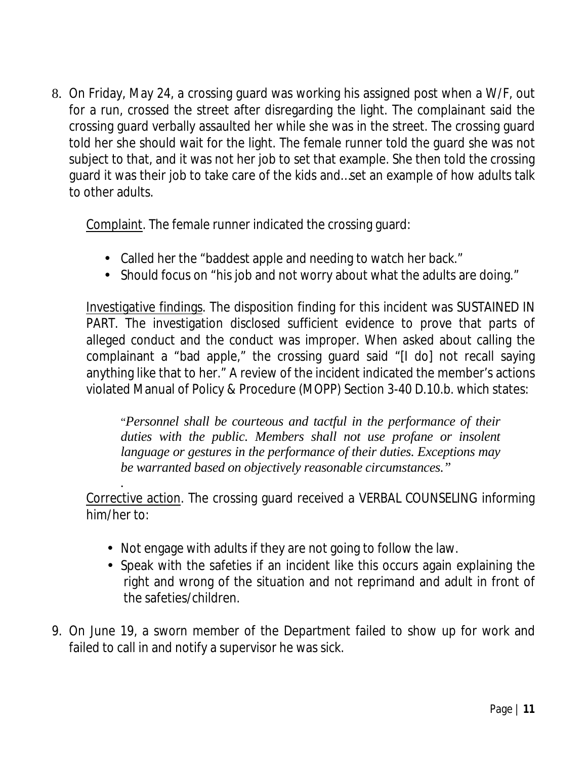8. On Friday, May 24, a crossing guard was working his assigned post when a W/F, out for a run, crossed the street after disregarding the light. The complainant said the crossing guard verbally assaulted her while she was in the street. The crossing guard told her she should wait for the light. The female runner told the guard she was not subject to that, and it was not her job to set that example. She then told the crossing guard it was their job to take care of the kids and…set an example of how adults talk to other adults.

Complaint. The female runner indicated the crossing guard:

- Called her the "baddest apple and needing to watch her back."
- Should focus on "his job and not worry about what the adults are doing."

Investigative findings. The disposition finding for this incident was SUSTAINED IN PART. The investigation disclosed sufficient evidence to prove that parts of alleged conduct and the conduct was improper. When asked about calling the complainant a "bad apple," the crossing guard said "[I do] not recall saying anything like that to her." A review of the incident indicated the member's actions violated Manual of Policy & Procedure (MOPP) Section 3-40 D.10.b. which states:

"*Personnel shall be courteous and tactful in the performance of their duties with the public. Members shall not use profane or insolent language or gestures in the performance of their duties. Exceptions may be warranted based on objectively reasonable circumstances."*

*.* Corrective action. The crossing guard received a VERBAL COUNSELING informing him/her to:

- Not engage with adults if they are not going to follow the law.
- Speak with the safeties if an incident like this occurs again explaining the right and wrong of the situation and not reprimand and adult in front of the safeties/children.
- 9. On June 19, a sworn member of the Department failed to show up for work and failed to call in and notify a supervisor he was sick.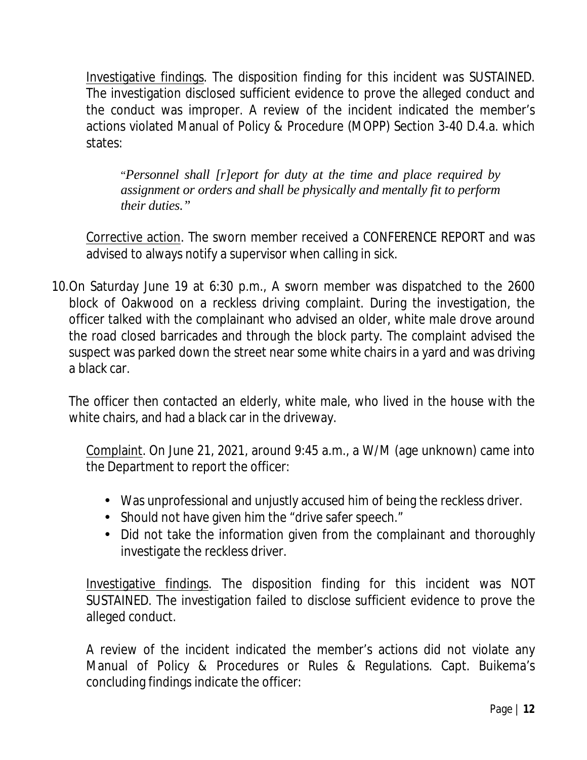Investigative findings. The disposition finding for this incident was SUSTAINED. The investigation disclosed sufficient evidence to prove the alleged conduct and the conduct was improper. A review of the incident indicated the member's actions violated Manual of Policy & Procedure (MOPP) Section 3-40 D.4.a. which states:

"*Personnel shall [r]eport for duty at the time and place required by assignment or orders and shall be physically and mentally fit to perform their duties."*

Corrective action. The sworn member received a CONFERENCE REPORT and was advised to always notify a supervisor when calling in sick.

10.On Saturday June 19 at 6:30 p.m., A sworn member was dispatched to the 2600 block of Oakwood on a reckless driving complaint. During the investigation, the officer talked with the complainant who advised an older, white male drove around the road closed barricades and through the block party. The complaint advised the suspect was parked down the street near some white chairs in a yard and was driving a black car.

The officer then contacted an elderly, white male, who lived in the house with the white chairs, and had a black car in the driveway.

Complaint. On June 21, 2021, around 9:45 a.m., a W/M (age unknown) came into the Department to report the officer:

- Was unprofessional and unjustly accused him of being the reckless driver.
- . Should not have given him the "drive safer speech."
- Did not take the information given from the complainant and thoroughly investigate the reckless driver.

Investigative findings. The disposition finding for this incident was NOT SUSTAINED. The investigation failed to disclose sufficient evidence to prove the alleged conduct.

A review of the incident indicated the member's actions did not violate any Manual of Policy & Procedures or Rules & Regulations. Capt. Buikema's concluding findings indicate the officer: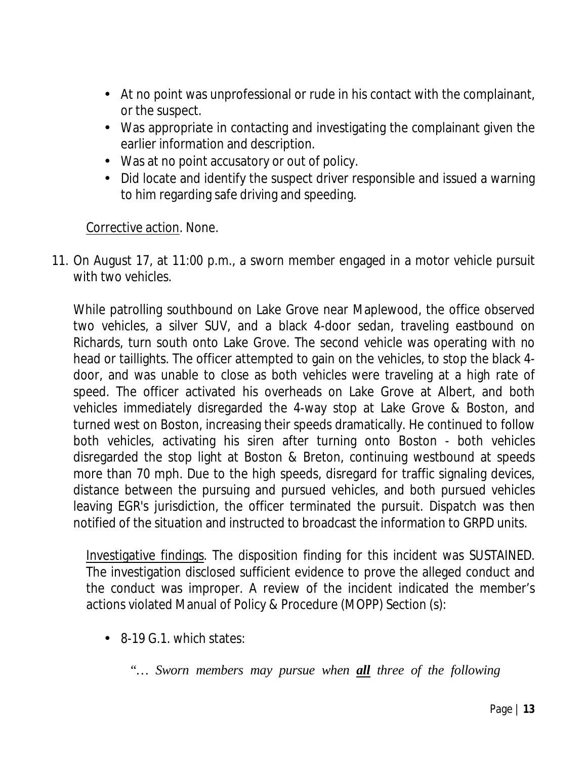- At no point was unprofessional or rude in his contact with the complainant, or the suspect.
- Was appropriate in contacting and investigating the complainant given the earlier information and description.
- Was at no point accusatory or out of policy.
- Did locate and identify the suspect driver responsible and issued a warning to him regarding safe driving and speeding.

#### Corrective action. None.

11. On August 17, at 11:00 p.m., a sworn member engaged in a motor vehicle pursuit with two vehicles.

While patrolling southbound on Lake Grove near Maplewood, the office observed two vehicles, a silver SUV, and a black 4-door sedan, traveling eastbound on Richards, turn south onto Lake Grove. The second vehicle was operating with no head or taillights. The officer attempted to gain on the vehicles, to stop the black 4 door, and was unable to close as both vehicles were traveling at a high rate of speed. The officer activated his overheads on Lake Grove at Albert, and both vehicles immediately disregarded the 4-way stop at Lake Grove & Boston, and turned west on Boston, increasing their speeds dramatically. He continued to follow both vehicles, activating his siren after turning onto Boston - both vehicles disregarded the stop light at Boston & Breton, continuing westbound at speeds more than 70 mph. Due to the high speeds, disregard for traffic signaling devices, distance between the pursuing and pursued vehicles, and both pursued vehicles leaving EGR's jurisdiction, the officer terminated the pursuit. Dispatch was then notified of the situation and instructed to broadcast the information to GRPD units.

Investigative findings. The disposition finding for this incident was SUSTAINED. The investigation disclosed sufficient evidence to prove the alleged conduct and the conduct was improper. A review of the incident indicated the member's actions violated Manual of Policy & Procedure (MOPP) Section (s):

8-19 G.1. which states:

*"… Sworn members may pursue when all three of the following*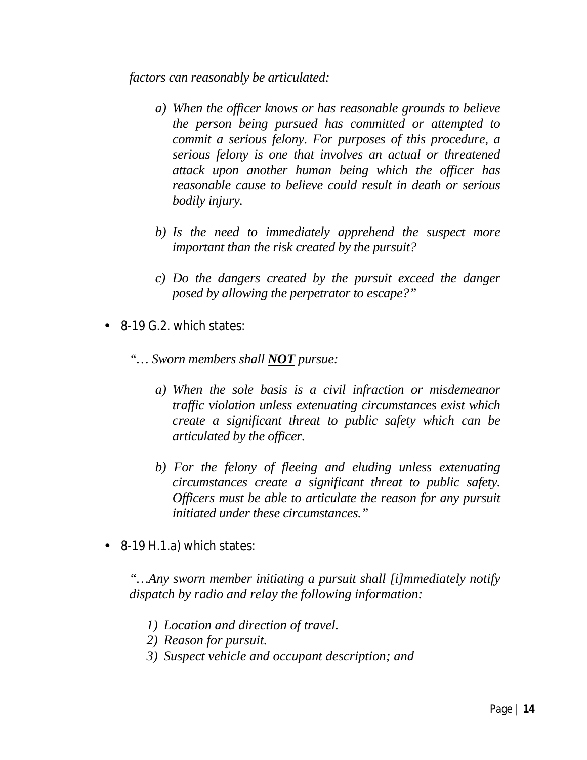*factors can reasonably be articulated:*

- *a) When the officer knows or has reasonable grounds to believe the person being pursued has committed or attempted to commit a serious felony. For purposes of this procedure, a serious felony is one that involves an actual or threatened attack upon another human being which the officer has reasonable cause to believe could result in death or serious bodily injury.*
- *b) Is the need to immediately apprehend the suspect more important than the risk created by the pursuit?*
- *c) Do the dangers created by the pursuit exceed the danger posed by allowing the perpetrator to escape?"*
- 8-19 G.2. which states:
	- *"… Sworn members shall NOT pursue:*
		- *a) When the sole basis is a civil infraction or misdemeanor traffic violation unless extenuating circumstances exist which create a significant threat to public safety which can be articulated by the officer.*
		- *b) For the felony of fleeing and eluding unless extenuating circumstances create a significant threat to public safety. Officers must be able to articulate the reason for any pursuit initiated under these circumstances."*

8-19 H.1.a) which states:

*"…Any sworn member initiating a pursuit shall [i]mmediately notify dispatch by radio and relay the following information:*

- *1) Location and direction of travel.*
- *2) Reason for pursuit.*
- *3) Suspect vehicle and occupant description; and*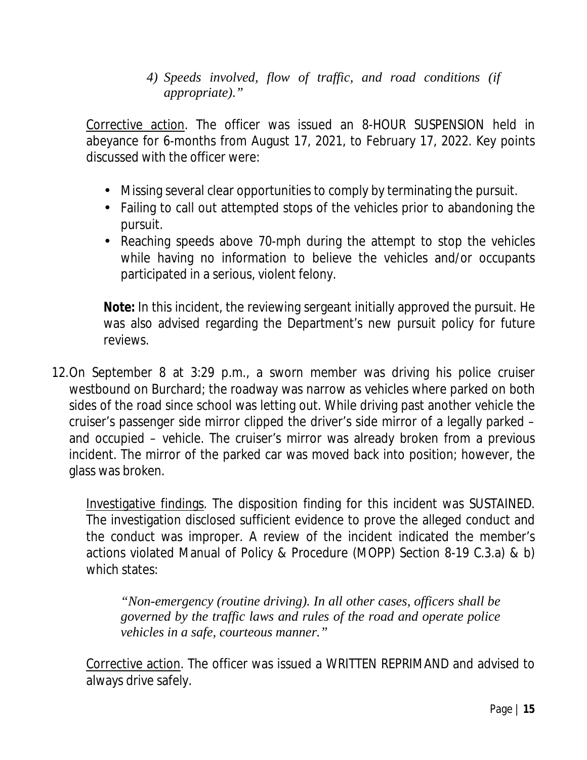*4) Speeds involved, flow of traffic, and road conditions (if appropriate)."*

Corrective action. The officer was issued an 8-HOUR SUSPENSION held in abeyance for 6-months from August 17, 2021, to February 17, 2022. Key points discussed with the officer were:

- Missing several clear opportunities to comply by terminating the pursuit.
- Failing to call out attempted stops of the vehicles prior to abandoning the pursuit.
- Reaching speeds above 70-mph during the attempt to stop the vehicles while having no information to believe the vehicles and/or occupants participated in a serious, violent felony.

**Note:** In this incident, the reviewing sergeant initially approved the pursuit. He was also advised regarding the Department's new pursuit policy for future reviews.

12.On September 8 at 3:29 p.m., a sworn member was driving his police cruiser westbound on Burchard; the roadway was narrow as vehicles where parked on both sides of the road since school was letting out. While driving past another vehicle the cruiser's passenger side mirror clipped the driver's side mirror of a legally parked – and occupied – vehicle. The cruiser's mirror was already broken from a previous incident. The mirror of the parked car was moved back into position; however, the glass was broken.

Investigative findings. The disposition finding for this incident was SUSTAINED. The investigation disclosed sufficient evidence to prove the alleged conduct and the conduct was improper. A review of the incident indicated the member's actions violated Manual of Policy & Procedure (MOPP) Section 8-19 C.3.a) & b) which states:

*"Non-emergency (routine driving). In all other cases, officers shall be governed by the traffic laws and rules of the road and operate police vehicles in a safe, courteous manner."*

Corrective action. The officer was issued a WRITTEN REPRIMAND and advised to always drive safely.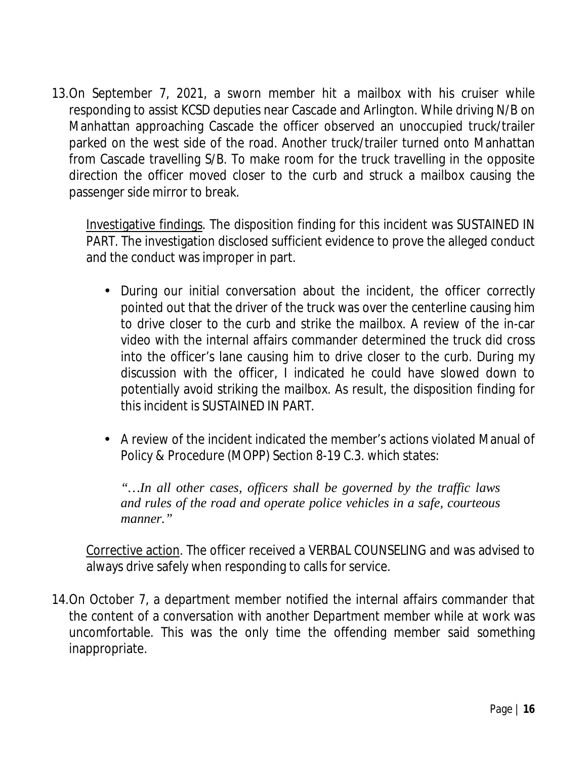13.On September 7, 2021, a sworn member hit a mailbox with his cruiser while responding to assist KCSD deputies near Cascade and Arlington. While driving N/B on Manhattan approaching Cascade the officer observed an unoccupied truck/trailer parked on the west side of the road. Another truck/trailer turned onto Manhattan from Cascade travelling S/B. To make room for the truck travelling in the opposite direction the officer moved closer to the curb and struck a mailbox causing the passenger side mirror to break.

Investigative findings. The disposition finding for this incident was SUSTAINED IN PART. The investigation disclosed sufficient evidence to prove the alleged conduct and the conduct was improper in part.

- During our initial conversation about the incident, the officer correctly pointed out that the driver of the truck was over the centerline causing him to drive closer to the curb and strike the mailbox. A review of the in-car video with the internal affairs commander determined the truck did cross into the officer's lane causing him to drive closer to the curb. During my discussion with the officer, I indicated he could have slowed down to potentially avoid striking the mailbox. As result, the disposition finding for this incident is SUSTAINED IN PART.
- A review of the incident indicated the member's actions violated Manual of Policy & Procedure (MOPP) Section 8-19 C.3. which states:

*"…In all other cases, officers shall be governed by the traffic laws and rules of the road and operate police vehicles in a safe, courteous manner."*

Corrective action. The officer received a VERBAL COUNSELING and was advised to always drive safely when responding to calls for service.

14.On October 7, a department member notified the internal affairs commander that the content of a conversation with another Department member while at work was uncomfortable. This was the only time the offending member said something inappropriate.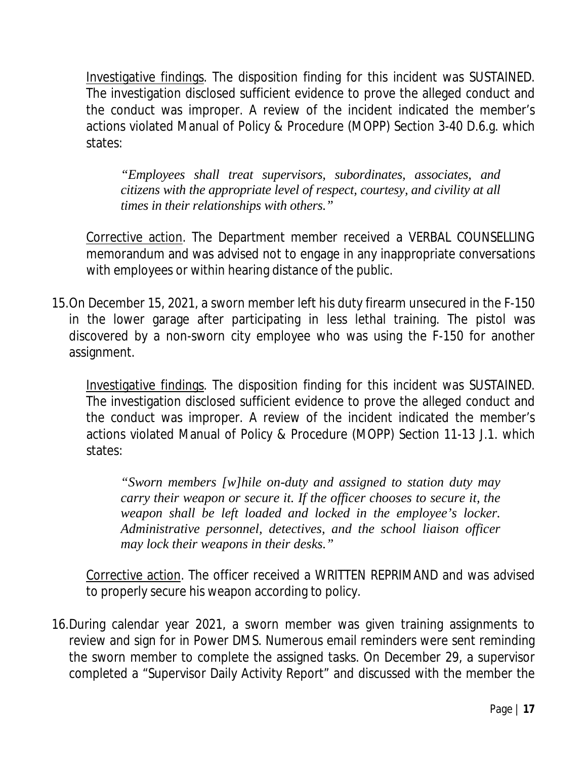Investigative findings. The disposition finding for this incident was SUSTAINED. The investigation disclosed sufficient evidence to prove the alleged conduct and the conduct was improper. A review of the incident indicated the member's actions violated Manual of Policy & Procedure (MOPP) Section 3-40 D.6.g. which states:

*"Employees shall treat supervisors, subordinates, associates, and citizens with the appropriate level of respect, courtesy, and civility at all times in their relationships with others."*

Corrective action. The Department member received a VERBAL COUNSELLING memorandum and was advised not to engage in any inappropriate conversations with employees or within hearing distance of the public.

15.On December 15, 2021, a sworn member left his duty firearm unsecured in the F-150 in the lower garage after participating in less lethal training. The pistol was discovered by a non-sworn city employee who was using the F-150 for another assignment.

Investigative findings. The disposition finding for this incident was SUSTAINED. The investigation disclosed sufficient evidence to prove the alleged conduct and the conduct was improper. A review of the incident indicated the member's actions violated Manual of Policy & Procedure (MOPP) Section 11-13 J.1. which states:

*"Sworn members [w]hile on-duty and assigned to station duty may carry their weapon or secure it. If the officer chooses to secure it, the weapon shall be left loaded and locked in the employee's locker. Administrative personnel, detectives, and the school liaison officer may lock their weapons in their desks."*

Corrective action. The officer received a WRITTEN REPRIMAND and was advised to properly secure his weapon according to policy.

16.During calendar year 2021, a sworn member was given training assignments to review and sign for in Power DMS. Numerous email reminders were sent reminding the sworn member to complete the assigned tasks. On December 29, a supervisor completed a "Supervisor Daily Activity Report" and discussed with the member the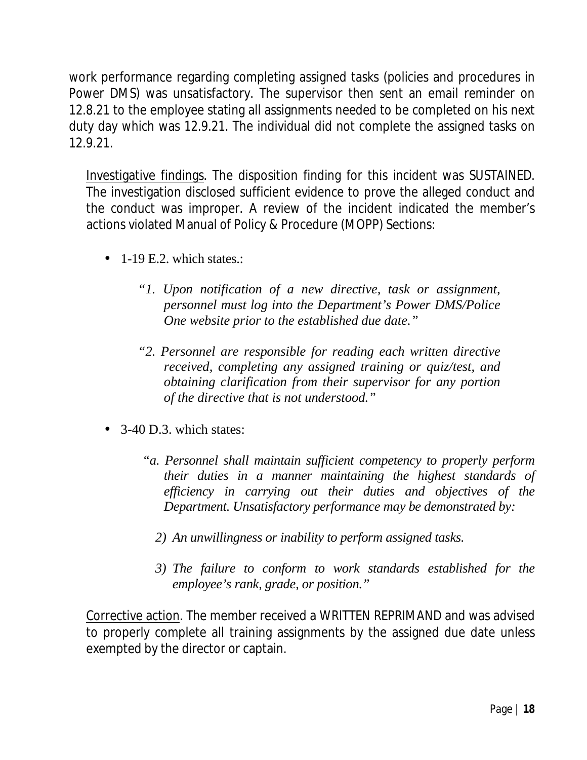work performance regarding completing assigned tasks (policies and procedures in Power DMS) was unsatisfactory. The supervisor then sent an email reminder on 12.8.21 to the employee stating all assignments needed to be completed on his next duty day which was 12.9.21. The individual did not complete the assigned tasks on 12.9.21.

Investigative findings. The disposition finding for this incident was SUSTAINED. The investigation disclosed sufficient evidence to prove the alleged conduct and the conduct was improper. A review of the incident indicated the member's actions violated Manual of Policy & Procedure (MOPP) Sections:

- $-1$ -19 E.2. which states.:
	- *"1. Upon notification of a new directive, task or assignment, personnel must log into the Department's Power DMS/Police One website prior to the established due date."*
	- *"2. Personnel are responsible for reading each written directive received, completing any assigned training or quiz/test, and obtaining clarification from their supervisor for any portion of the directive that is not understood."*
- $\cdot$  3-40 D.3. which states:
	- *"a. Personnel shall maintain sufficient competency to properly perform their duties in a manner maintaining the highest standards of efficiency in carrying out their duties and objectives of the Department. Unsatisfactory performance may be demonstrated by:*
		- *2) An unwillingness or inability to perform assigned tasks.*
		- *3) The failure to conform to work standards established for the employee's rank, grade, or position."*

Corrective action. The member received a WRITTEN REPRIMAND and was advised to properly complete all training assignments by the assigned due date unless exempted by the director or captain.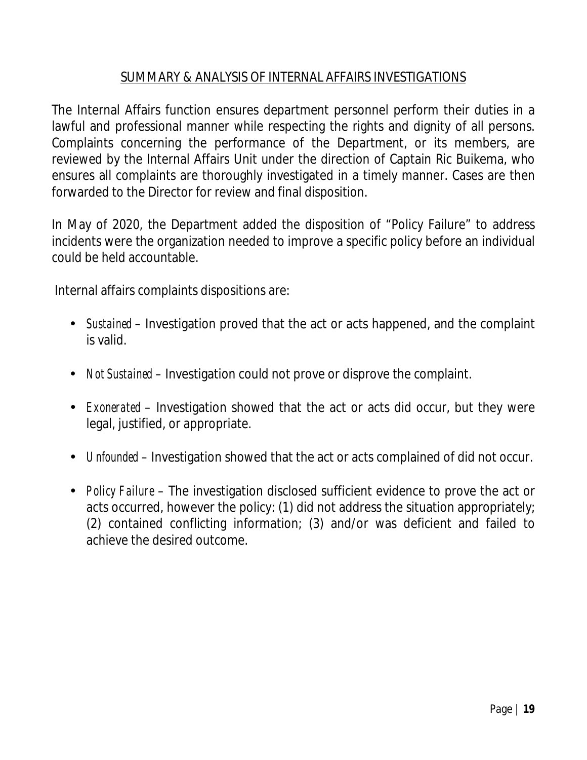### SUMMARY & ANALYSIS OF INTERNAL AFFAIRS INVESTIGATIONS

The Internal Affairs function ensures department personnel perform their duties in a lawful and professional manner while respecting the rights and dignity of all persons. Complaints concerning the performance of the Department, or its members, are reviewed by the Internal Affairs Unit under the direction of Captain Ric Buikema, who ensures all complaints are thoroughly investigated in a timely manner. Cases are then forwarded to the Director for review and final disposition.

In May of 2020, the Department added the disposition of "Policy Failure" to address incidents were the organization needed to improve a specific policy before an individual could be held accountable.

Internal affairs complaints dispositions are:

- *Sustained*  Investigation proved that the act or acts happened, and the complaint is valid.
- *Not Sustained* Investigation could not prove or disprove the complaint.
- *Exonerated*  Investigation showed that the act or acts did occur, but they were legal, justified, or appropriate.
- *Unfounded* Investigation showed that the act or acts complained of did not occur.
- *Policy Failure* The investigation disclosed sufficient evidence to prove the act or acts occurred, however the policy: (1) did not address the situation appropriately; (2) contained conflicting information; (3) and/or was deficient and failed to achieve the desired outcome.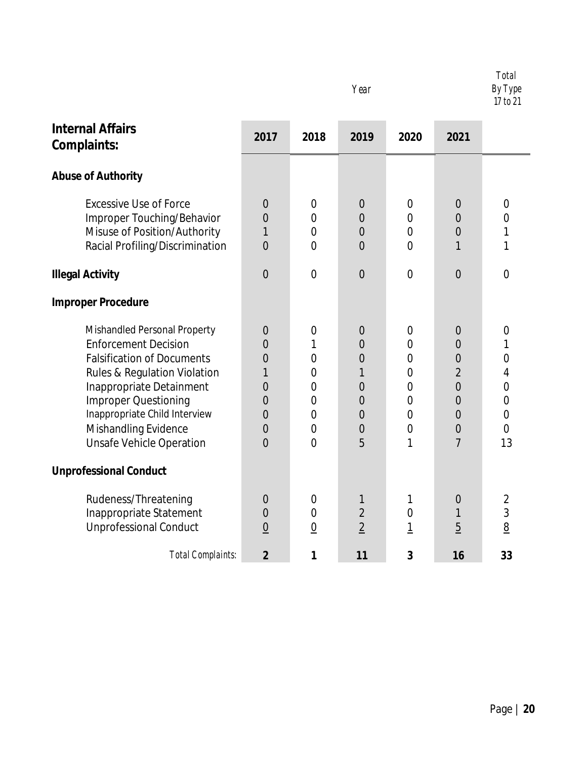|                                                                                                                                                                                                                                                                                                    |                                                                                                                                                   |                                                                                                                                                | Year                                                                                                                               |                                                                                                                                      |                                                                                                                                                             | <b>Total</b><br>By Type<br>17 to 21                                                                   |
|----------------------------------------------------------------------------------------------------------------------------------------------------------------------------------------------------------------------------------------------------------------------------------------------------|---------------------------------------------------------------------------------------------------------------------------------------------------|------------------------------------------------------------------------------------------------------------------------------------------------|------------------------------------------------------------------------------------------------------------------------------------|--------------------------------------------------------------------------------------------------------------------------------------|-------------------------------------------------------------------------------------------------------------------------------------------------------------|-------------------------------------------------------------------------------------------------------|
| <b>Internal Affairs</b><br>Complaints:                                                                                                                                                                                                                                                             | 2017                                                                                                                                              | 2018                                                                                                                                           | 2019                                                                                                                               | 2020                                                                                                                                 | 2021                                                                                                                                                        |                                                                                                       |
| <b>Abuse of Authority</b>                                                                                                                                                                                                                                                                          |                                                                                                                                                   |                                                                                                                                                |                                                                                                                                    |                                                                                                                                      |                                                                                                                                                             |                                                                                                       |
| <b>Excessive Use of Force</b><br>Improper Touching/Behavior<br>Misuse of Position/Authority<br>Racial Profiling/Discrimination                                                                                                                                                                     | $\theta$<br>$\overline{0}$<br>1<br>$\overline{0}$                                                                                                 | $\theta$<br>$\overline{0}$<br>$\overline{0}$<br>$\overline{0}$                                                                                 | $\theta$<br>0<br>$\mathbf{0}$<br>$\overline{0}$                                                                                    | $\overline{0}$<br>$\overline{0}$<br>$\overline{0}$<br>$\overline{0}$                                                                 | $\theta$<br>$\overline{0}$<br>$\overline{0}$<br>1                                                                                                           | $\mathbf 0$<br>0<br>1<br>1                                                                            |
| <b>Illegal Activity</b>                                                                                                                                                                                                                                                                            | $\overline{0}$                                                                                                                                    | $\overline{0}$                                                                                                                                 | $\overline{0}$                                                                                                                     | $\overline{0}$                                                                                                                       | $\overline{0}$                                                                                                                                              | $\overline{0}$                                                                                        |
| <b>Improper Procedure</b>                                                                                                                                                                                                                                                                          |                                                                                                                                                   |                                                                                                                                                |                                                                                                                                    |                                                                                                                                      |                                                                                                                                                             |                                                                                                       |
| Mishandled Personal Property<br><b>Enforcement Decision</b><br><b>Falsification of Documents</b><br><b>Rules &amp; Regulation Violation</b><br>Inappropriate Detainment<br><b>Improper Questioning</b><br>Inappropriate Child Interview<br>Mishandling Evidence<br><b>Unsafe Vehicle Operation</b> | $\overline{0}$<br>$\overline{0}$<br>$\overline{0}$<br>1<br>$\overline{0}$<br>$\overline{0}$<br>$\overline{0}$<br>$\overline{0}$<br>$\overline{0}$ | $\overline{0}$<br>1<br>$\overline{0}$<br>$\mathbf 0$<br>$\overline{0}$<br>$\overline{0}$<br>$\overline{0}$<br>$\overline{0}$<br>$\overline{0}$ | $\mathbf{0}$<br>$\overline{0}$<br>$\overline{0}$<br>1<br>$\overline{0}$<br>$\overline{0}$<br>$\overline{0}$<br>$\overline{0}$<br>5 | 0<br>$\overline{0}$<br>$\overline{0}$<br>$\overline{0}$<br>$\overline{0}$<br>$\overline{0}$<br>$\overline{0}$<br>$\overline{0}$<br>1 | $\mathbf 0$<br>$\overline{0}$<br>$\overline{0}$<br>$\overline{2}$<br>$\overline{0}$<br>$\overline{0}$<br>$\overline{0}$<br>$\overline{0}$<br>$\overline{7}$ | $\mathbf 0$<br>1<br>$\mathbf 0$<br>4<br>0<br>$\overline{0}$<br>$\overline{0}$<br>$\overline{0}$<br>13 |
| <b>Unprofessional Conduct</b>                                                                                                                                                                                                                                                                      |                                                                                                                                                   |                                                                                                                                                |                                                                                                                                    |                                                                                                                                      |                                                                                                                                                             |                                                                                                       |
| Rudeness/Threatening<br>Inappropriate Statement<br><b>Unprofessional Conduct</b>                                                                                                                                                                                                                   | $\theta$<br>$\mathbf 0$<br>$\underline{0}$                                                                                                        | $\overline{0}$<br>$\overline{0}$<br>$\overline{0}$                                                                                             | $\mathbf{1}$<br>$\overline{2}$<br>$\overline{2}$                                                                                   | 1<br>$\overline{0}$<br>$\overline{1}$                                                                                                | $\mathbf 0$<br>1<br>$\overline{5}$                                                                                                                          | $\overline{2}$<br>3<br>8                                                                              |
| <b>Total Complaints:</b>                                                                                                                                                                                                                                                                           | $\overline{2}$                                                                                                                                    | 1                                                                                                                                              | 11                                                                                                                                 | 3                                                                                                                                    | 16                                                                                                                                                          | 33                                                                                                    |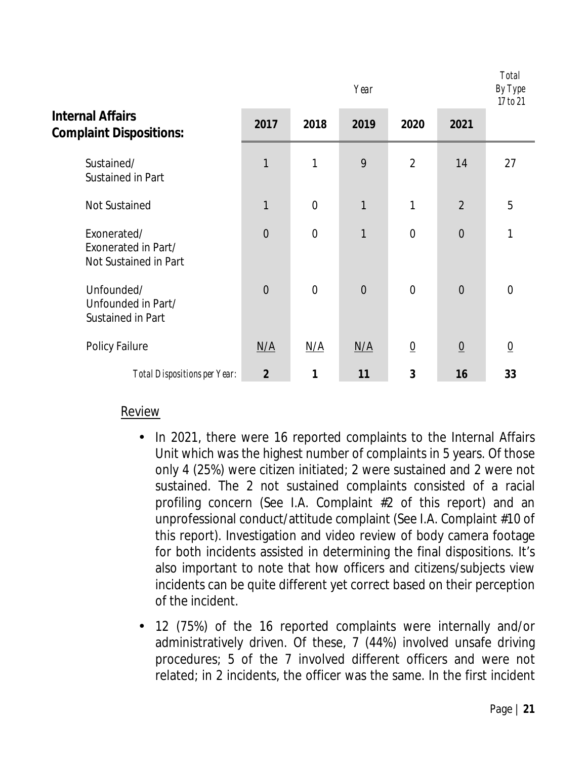|                                                             | Year           |                |                |                 |                 | <b>Total</b><br>By Type<br>17 to 21 |
|-------------------------------------------------------------|----------------|----------------|----------------|-----------------|-----------------|-------------------------------------|
| <b>Internal Affairs</b><br><b>Complaint Dispositions:</b>   | 2017           | 2018           | 2019           | 2020            | 2021            |                                     |
| Sustained/<br>Sustained in Part                             | 1              | 1              | 9              | $\overline{2}$  | 14              | 27                                  |
| <b>Not Sustained</b>                                        | 1              | $\overline{0}$ | 1              | 1               | $\overline{2}$  | 5                                   |
| Exonerated/<br>Exonerated in Part/<br>Not Sustained in Part | $\overline{0}$ | $\mathbf 0$    | 1              | $\mathbf 0$     | $\overline{0}$  | 1                                   |
| Unfounded/<br>Unfounded in Part/<br>Sustained in Part       | $\overline{0}$ | $\overline{0}$ | $\overline{0}$ | $\overline{0}$  | $\overline{0}$  | $\Omega$                            |
| <b>Policy Failure</b>                                       | N/A            | N/A            | N/A            | $\underline{0}$ | $\underline{0}$ | $\overline{0}$                      |
| <b>Total Dispositions per Year:</b>                         | $\overline{2}$ | 1              | 11             | 3               | 16              | 33                                  |

#### Review

- In 2021, there were 16 reported complaints to the Internal Affairs  $\mathbf{r}$ Unit which was the highest number of complaints in 5 years. Of those only 4 (25%) were citizen initiated; 2 were sustained and 2 were not sustained. The 2 not sustained complaints consisted of a racial profiling concern (See I.A. Complaint #2 of this report) and an unprofessional conduct/attitude complaint (See I.A. Complaint #10 of this report). Investigation and video review of body camera footage for both incidents assisted in determining the final dispositions. It's also important to note that how officers and citizens/subjects view incidents can be quite different yet correct based on their perception of the incident.
	- 12 (75%) of the 16 reported complaints were internally and/or administratively driven. Of these, 7 (44%) involved unsafe driving procedures; 5 of the 7 involved different officers and were not related; in 2 incidents, the officer was the same. In the first incident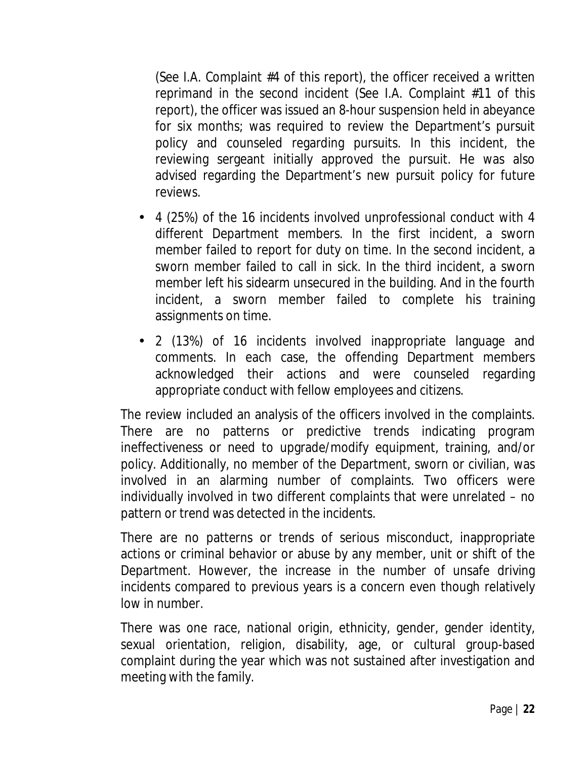(See I.A. Complaint #4 of this report), the officer received a written reprimand in the second incident (See I.A. Complaint #11 of this report), the officer was issued an 8-hour suspension held in abeyance for six months; was required to review the Department's pursuit policy and counseled regarding pursuits. In this incident, the reviewing sergeant initially approved the pursuit. He was also advised regarding the Department's new pursuit policy for future reviews.

- 4 (25%) of the 16 incidents involved unprofessional conduct with 4 different Department members. In the first incident, a sworn member failed to report for duty on time. In the second incident, a sworn member failed to call in sick. In the third incident, a sworn member left his sidearm unsecured in the building. And in the fourth incident, a sworn member failed to complete his training assignments on time.
- 2 (13%) of 16 incidents involved inappropriate language and  $\mathbf{r} = \mathbf{r}$ comments. In each case, the offending Department members acknowledged their actions and were counseled regarding appropriate conduct with fellow employees and citizens.

The review included an analysis of the officers involved in the complaints. There are no patterns or predictive trends indicating program ineffectiveness or need to upgrade/modify equipment, training, and/or policy. Additionally, no member of the Department, sworn or civilian, was involved in an alarming number of complaints. Two officers were individually involved in two different complaints that were unrelated – no pattern or trend was detected in the incidents.

There are no patterns or trends of serious misconduct, inappropriate actions or criminal behavior or abuse by any member, unit or shift of the Department. However, the increase in the number of unsafe driving incidents compared to previous years is a concern even though relatively low in number.

There was one race, national origin, ethnicity, gender, gender identity, sexual orientation, religion, disability, age, or cultural group-based complaint during the year which was not sustained after investigation and meeting with the family.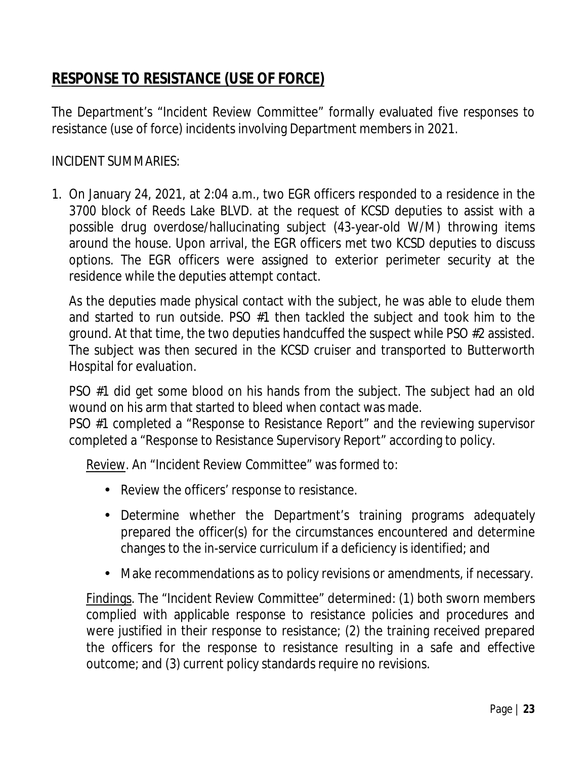## **RESPONSE TO RESISTANCE (USE OF FORCE)**

The Department's "Incident Review Committee" formally evaluated five responses to resistance (use of force) incidents involving Department members in 2021.

### INCIDENT SUMMARIES:

1. On January 24, 2021, at 2:04 a.m., two EGR officers responded to a residence in the 3700 block of Reeds Lake BLVD. at the request of KCSD deputies to assist with a possible drug overdose/hallucinating subject (43-year-old W/M) throwing items around the house. Upon arrival, the EGR officers met two KCSD deputies to discuss options. The EGR officers were assigned to exterior perimeter security at the residence while the deputies attempt contact.

As the deputies made physical contact with the subject, he was able to elude them and started to run outside. PSO #1 then tackled the subject and took him to the ground. At that time, the two deputies handcuffed the suspect while PSO #2 assisted. The subject was then secured in the KCSD cruiser and transported to Butterworth Hospital for evaluation.

PSO #1 did get some blood on his hands from the subject. The subject had an old wound on his arm that started to bleed when contact was made.

PSO #1 completed a "Response to Resistance Report" and the reviewing supervisor completed a "Response to Resistance Supervisory Report" according to policy.

Review. An "Incident Review Committee" was formed to:

- Review the officers' response to resistance.
- Determine whether the Department's training programs adequately prepared the officer(s) for the circumstances encountered and determine changes to the in-service curriculum if a deficiency is identified; and
- Make recommendations as to policy revisions or amendments, if necessary. k,

Findings. The "Incident Review Committee" determined: (1) both sworn members complied with applicable response to resistance policies and procedures and were justified in their response to resistance; (2) the training received prepared the officers for the response to resistance resulting in a safe and effective outcome; and (3) current policy standards require no revisions.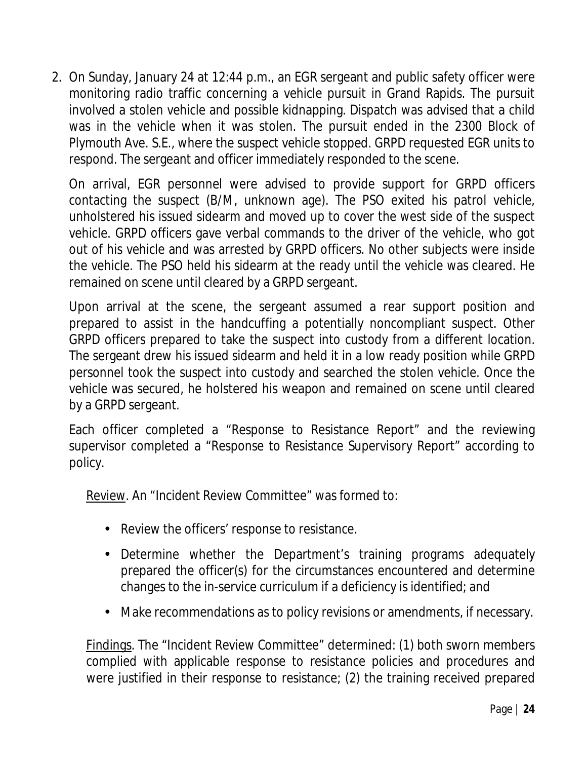2. On Sunday, January 24 at 12:44 p.m., an EGR sergeant and public safety officer were monitoring radio traffic concerning a vehicle pursuit in Grand Rapids. The pursuit involved a stolen vehicle and possible kidnapping. Dispatch was advised that a child was in the vehicle when it was stolen. The pursuit ended in the 2300 Block of Plymouth Ave. S.E., where the suspect vehicle stopped. GRPD requested EGR units to respond. The sergeant and officer immediately responded to the scene.

On arrival, EGR personnel were advised to provide support for GRPD officers contacting the suspect (B/M, unknown age). The PSO exited his patrol vehicle, unholstered his issued sidearm and moved up to cover the west side of the suspect vehicle. GRPD officers gave verbal commands to the driver of the vehicle, who got out of his vehicle and was arrested by GRPD officers. No other subjects were inside the vehicle. The PSO held his sidearm at the ready until the vehicle was cleared. He remained on scene until cleared by a GRPD sergeant.

Upon arrival at the scene, the sergeant assumed a rear support position and prepared to assist in the handcuffing a potentially noncompliant suspect. Other GRPD officers prepared to take the suspect into custody from a different location. The sergeant drew his issued sidearm and held it in a low ready position while GRPD personnel took the suspect into custody and searched the stolen vehicle. Once the vehicle was secured, he holstered his weapon and remained on scene until cleared by a GRPD sergeant.

Each officer completed a "Response to Resistance Report" and the reviewing supervisor completed a "Response to Resistance Supervisory Report" according to policy.

Review. An "Incident Review Committee" was formed to:

- Review the officers' response to resistance.
- Determine whether the Department's training programs adequately prepared the officer(s) for the circumstances encountered and determine changes to the in-service curriculum if a deficiency is identified; and
- Make recommendations as to policy revisions or amendments, if necessary.

Findings. The "Incident Review Committee" determined: (1) both sworn members complied with applicable response to resistance policies and procedures and were justified in their response to resistance; (2) the training received prepared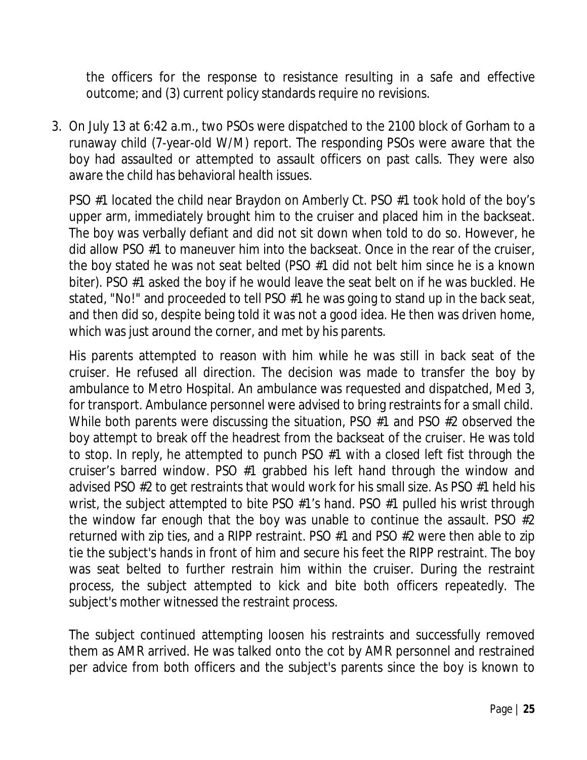the officers for the response to resistance resulting in a safe and effective outcome; and (3) current policy standards require no revisions.

3. On July 13 at 6:42 a.m., two PSOs were dispatched to the 2100 block of Gorham to a runaway child (7-year-old W/M) report. The responding PSOs were aware that the boy had assaulted or attempted to assault officers on past calls. They were also aware the child has behavioral health issues.

PSO #1 located the child near Braydon on Amberly Ct. PSO #1 took hold of the boy's upper arm, immediately brought him to the cruiser and placed him in the backseat. The boy was verbally defiant and did not sit down when told to do so. However, he did allow PSO #1 to maneuver him into the backseat. Once in the rear of the cruiser, the boy stated he was not seat belted (PSO #1 did not belt him since he is a known biter). PSO #1 asked the boy if he would leave the seat belt on if he was buckled. He stated, "No!" and proceeded to tell PSO #1 he was going to stand up in the back seat, and then did so, despite being told it was not a good idea. He then was driven home, which was just around the corner, and met by his parents.

His parents attempted to reason with him while he was still in back seat of the cruiser. He refused all direction. The decision was made to transfer the boy by ambulance to Metro Hospital. An ambulance was requested and dispatched, Med 3, for transport. Ambulance personnel were advised to bring restraints for a small child. While both parents were discussing the situation, PSO #1 and PSO #2 observed the boy attempt to break off the headrest from the backseat of the cruiser. He was told to stop. In reply, he attempted to punch PSO #1 with a closed left fist through the cruiser's barred window. PSO #1 grabbed his left hand through the window and advised PSO #2 to get restraints that would work for his small size. As PSO #1 held his wrist, the subject attempted to bite PSO #1's hand. PSO #1 pulled his wrist through the window far enough that the boy was unable to continue the assault. PSO #2 returned with zip ties, and a RIPP restraint. PSO #1 and PSO #2 were then able to zip tie the subject's hands in front of him and secure his feet the RIPP restraint. The boy was seat belted to further restrain him within the cruiser. During the restraint process, the subject attempted to kick and bite both officers repeatedly. The subject's mother witnessed the restraint process.

The subject continued attempting loosen his restraints and successfully removed them as AMR arrived. He was talked onto the cot by AMR personnel and restrained per advice from both officers and the subject's parents since the boy is known to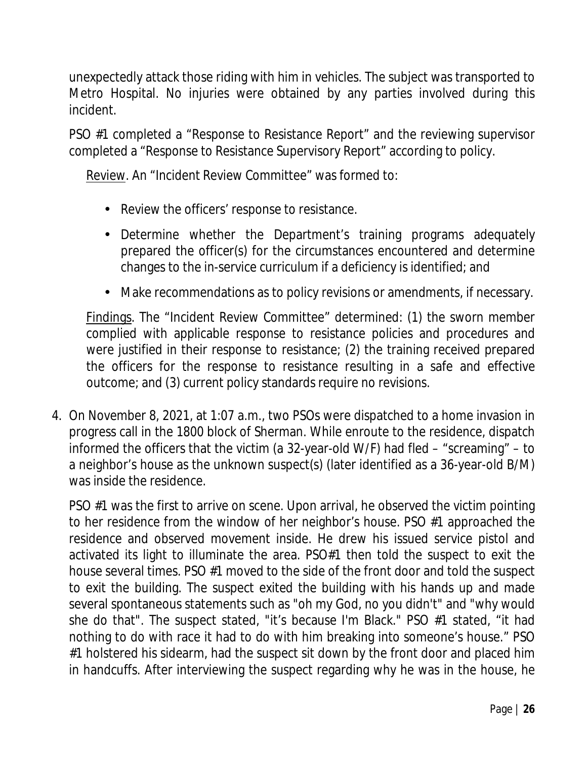unexpectedly attack those riding with him in vehicles. The subject was transported to Metro Hospital. No injuries were obtained by any parties involved during this incident.

PSO #1 completed a "Response to Resistance Report" and the reviewing supervisor completed a "Response to Resistance Supervisory Report" according to policy.

Review. An "Incident Review Committee" was formed to:

- Review the officers' response to resistance.
- Determine whether the Department's training programs adequately prepared the officer(s) for the circumstances encountered and determine changes to the in-service curriculum if a deficiency is identified; and
- Make recommendations as to policy revisions or amendments, if necessary. ä,

Findings. The "Incident Review Committee" determined: (1) the sworn member complied with applicable response to resistance policies and procedures and were justified in their response to resistance; (2) the training received prepared the officers for the response to resistance resulting in a safe and effective outcome; and (3) current policy standards require no revisions.

4. On November 8, 2021, at 1:07 a.m., two PSOs were dispatched to a home invasion in progress call in the 1800 block of Sherman. While enroute to the residence, dispatch informed the officers that the victim (a 32-year-old W/F) had fled – "screaming" – to a neighbor's house as the unknown suspect(s) (later identified as a 36-year-old B/M) was inside the residence.

PSO #1 was the first to arrive on scene. Upon arrival, he observed the victim pointing to her residence from the window of her neighbor's house. PSO #1 approached the residence and observed movement inside. He drew his issued service pistol and activated its light to illuminate the area. PSO#1 then told the suspect to exit the house several times. PSO #1 moved to the side of the front door and told the suspect to exit the building. The suspect exited the building with his hands up and made several spontaneous statements such as "oh my God, no you didn't" and "why would she do that". The suspect stated, "it's because I'm Black." PSO #1 stated, "it had nothing to do with race it had to do with him breaking into someone's house." PSO #1 holstered his sidearm, had the suspect sit down by the front door and placed him in handcuffs. After interviewing the suspect regarding why he was in the house, he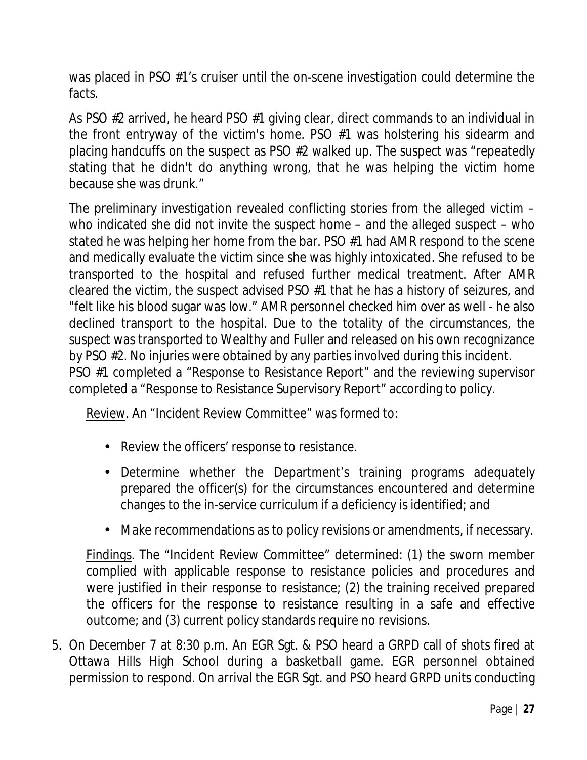was placed in PSO #1's cruiser until the on-scene investigation could determine the facts.

As PSO #2 arrived, he heard PSO #1 giving clear, direct commands to an individual in the front entryway of the victim's home. PSO #1 was holstering his sidearm and placing handcuffs on the suspect as PSO #2 walked up. The suspect was "repeatedly stating that he didn't do anything wrong, that he was helping the victim home because she was drunk."

The preliminary investigation revealed conflicting stories from the alleged victim – who indicated she did not invite the suspect home – and the alleged suspect – who stated he was helping her home from the bar. PSO #1 had AMR respond to the scene and medically evaluate the victim since she was highly intoxicated. She refused to be transported to the hospital and refused further medical treatment. After AMR cleared the victim, the suspect advised PSO #1 that he has a history of seizures, and "felt like his blood sugar was low." AMR personnel checked him over as well - he also declined transport to the hospital. Due to the totality of the circumstances, the suspect was transported to Wealthy and Fuller and released on his own recognizance by PSO #2. No injuries were obtained by any parties involved during this incident. PSO #1 completed a "Response to Resistance Report" and the reviewing supervisor completed a "Response to Resistance Supervisory Report" according to policy.

Review. An "Incident Review Committee" was formed to:

- Review the officers' response to resistance.
- Determine whether the Department's training programs adequately prepared the officer(s) for the circumstances encountered and determine changes to the in-service curriculum if a deficiency is identified; and
- Make recommendations as to policy revisions or amendments, if necessary.

Findings. The "Incident Review Committee" determined: (1) the sworn member complied with applicable response to resistance policies and procedures and were justified in their response to resistance; (2) the training received prepared the officers for the response to resistance resulting in a safe and effective outcome; and (3) current policy standards require no revisions.

5. On December 7 at 8:30 p.m. An EGR Sgt. & PSO heard a GRPD call of shots fired at Ottawa Hills High School during a basketball game. EGR personnel obtained permission to respond. On arrival the EGR Sgt. and PSO heard GRPD units conducting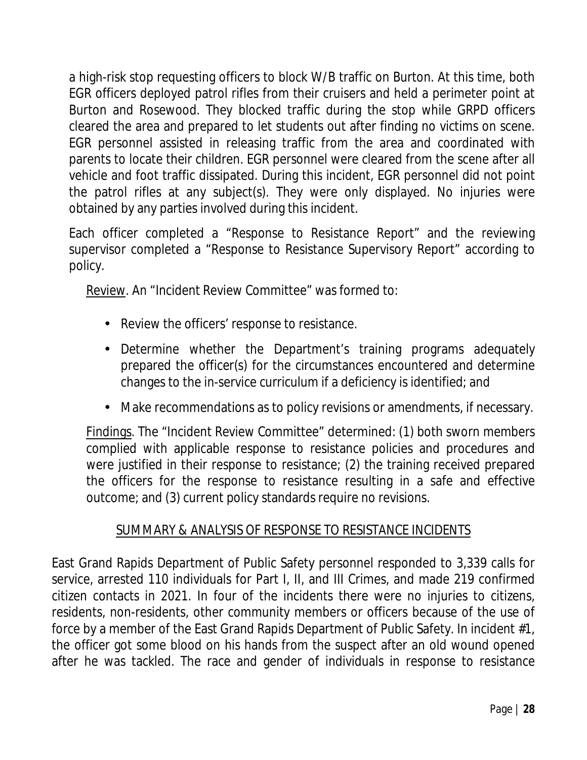a high-risk stop requesting officers to block W/B traffic on Burton. At this time, both EGR officers deployed patrol rifles from their cruisers and held a perimeter point at Burton and Rosewood. They blocked traffic during the stop while GRPD officers cleared the area and prepared to let students out after finding no victims on scene. EGR personnel assisted in releasing traffic from the area and coordinated with parents to locate their children. EGR personnel were cleared from the scene after all vehicle and foot traffic dissipated. During this incident, EGR personnel did not point the patrol rifles at any subject(s). They were only displayed. No injuries were obtained by any parties involved during this incident.

Each officer completed a "Response to Resistance Report" and the reviewing supervisor completed a "Response to Resistance Supervisory Report" according to policy.

Review. An "Incident Review Committee" was formed to:

- Review the officers' response to resistance.
- Determine whether the Department's training programs adequately prepared the officer(s) for the circumstances encountered and determine changes to the in-service curriculum if a deficiency is identified; and
- Make recommendations as to policy revisions or amendments, if necessary.

Findings. The "Incident Review Committee" determined: (1) both sworn members complied with applicable response to resistance policies and procedures and were justified in their response to resistance; (2) the training received prepared the officers for the response to resistance resulting in a safe and effective outcome; and (3) current policy standards require no revisions.

#### SUMMARY & ANALYSIS OF RESPONSE TO RESISTANCE INCIDENTS

East Grand Rapids Department of Public Safety personnel responded to 3,339 calls for service, arrested 110 individuals for Part I, II, and III Crimes, and made 219 confirmed citizen contacts in 2021. In four of the incidents there were no injuries to citizens, residents, non-residents, other community members or officers because of the use of force by a member of the East Grand Rapids Department of Public Safety. In incident #1, the officer got some blood on his hands from the suspect after an old wound opened after he was tackled. The race and gender of individuals in response to resistance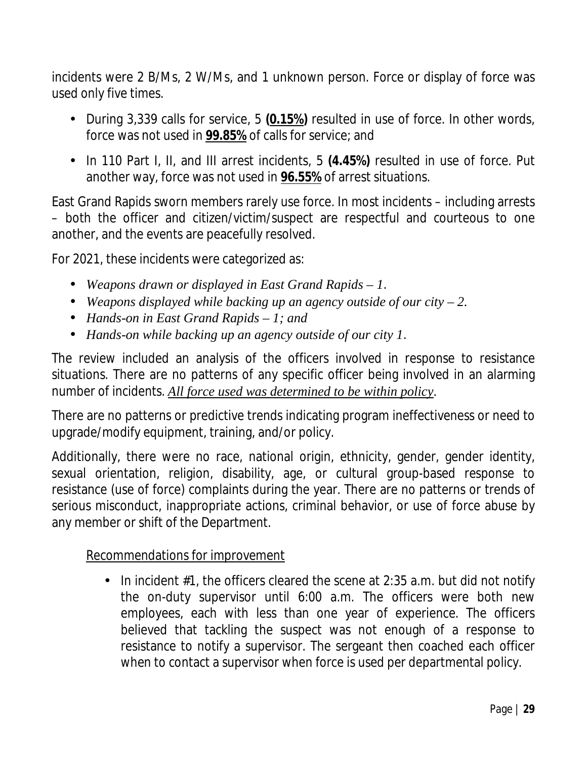incidents were 2 B/Ms, 2 W/Ms, and 1 unknown person. Force or display of force was used only five times.

- During 3,339 calls for service, 5 **(0.15%)** resulted in use of force. In other words, force was not used in **99.85%** of calls for service; and
- In 110 Part I, II, and III arrest incidents, 5 **(4.45%)** resulted in use of force. Put another way, force was not used in **96.55%** of arrest situations.

East Grand Rapids sworn members rarely use force. In most incidents – including arrests – both the officer and citizen/victim/suspect are respectful and courteous to one another, and the events are peacefully resolved.

For 2021, these incidents were categorized as:

- *Weapons drawn or displayed in East Grand Rapids – 1*.
- *Weapons displayed while backing up an agency outside of our city – 2.*
- *Hands-on in East Grand Rapids – 1; and*
- *Hands-on while backing up an agency outside of our city 1*.

The review included an analysis of the officers involved in response to resistance situations. There are no patterns of any specific officer being involved in an alarming number of incidents. *All force used was determined to be within policy*.

There are no patterns or predictive trends indicating program ineffectiveness or need to upgrade/modify equipment, training, and/or policy.

Additionally, there were no race, national origin, ethnicity, gender, gender identity, sexual orientation, religion, disability, age, or cultural group-based response to resistance (use of force) complaints during the year. There are no patterns or trends of serious misconduct, inappropriate actions, criminal behavior, or use of force abuse by any member or shift of the Department.

#### Recommendations for improvement

In incident  $#1$ , the officers cleared the scene at 2:35 a.m. but did not notify the on-duty supervisor until 6:00 a.m. The officers were both new employees, each with less than one year of experience. The officers believed that tackling the suspect was not enough of a response to resistance to notify a supervisor. The sergeant then coached each officer when to contact a supervisor when force is used per departmental policy.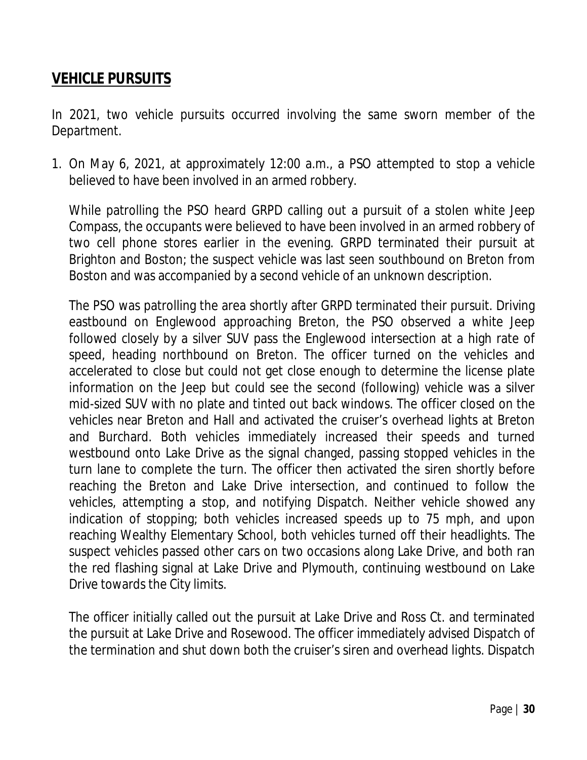## **VEHICLE PURSUITS**

In 2021, two vehicle pursuits occurred involving the same sworn member of the Department.

1. On May 6, 2021, at approximately 12:00 a.m., a PSO attempted to stop a vehicle believed to have been involved in an armed robbery.

While patrolling the PSO heard GRPD calling out a pursuit of a stolen white Jeep Compass, the occupants were believed to have been involved in an armed robbery of two cell phone stores earlier in the evening. GRPD terminated their pursuit at Brighton and Boston; the suspect vehicle was last seen southbound on Breton from Boston and was accompanied by a second vehicle of an unknown description.

The PSO was patrolling the area shortly after GRPD terminated their pursuit. Driving eastbound on Englewood approaching Breton, the PSO observed a white Jeep followed closely by a silver SUV pass the Englewood intersection at a high rate of speed, heading northbound on Breton. The officer turned on the vehicles and accelerated to close but could not get close enough to determine the license plate information on the Jeep but could see the second (following) vehicle was a silver mid-sized SUV with no plate and tinted out back windows. The officer closed on the vehicles near Breton and Hall and activated the cruiser's overhead lights at Breton and Burchard. Both vehicles immediately increased their speeds and turned westbound onto Lake Drive as the signal changed, passing stopped vehicles in the turn lane to complete the turn. The officer then activated the siren shortly before reaching the Breton and Lake Drive intersection, and continued to follow the vehicles, attempting a stop, and notifying Dispatch. Neither vehicle showed any indication of stopping; both vehicles increased speeds up to 75 mph, and upon reaching Wealthy Elementary School, both vehicles turned off their headlights. The suspect vehicles passed other cars on two occasions along Lake Drive, and both ran the red flashing signal at Lake Drive and Plymouth, continuing westbound on Lake Drive towards the City limits.

The officer initially called out the pursuit at Lake Drive and Ross Ct. and terminated the pursuit at Lake Drive and Rosewood. The officer immediately advised Dispatch of the termination and shut down both the cruiser's siren and overhead lights. Dispatch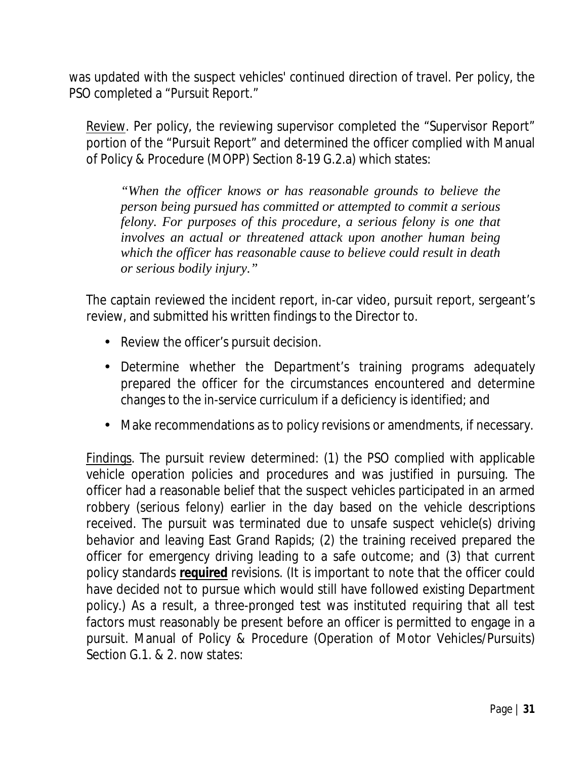was updated with the suspect vehicles' continued direction of travel. Per policy, the PSO completed a "Pursuit Report."

Review. Per policy, the reviewing supervisor completed the "Supervisor Report" portion of the "Pursuit Report" and determined the officer complied with Manual of Policy & Procedure (MOPP) Section 8-19 G.2.a) which states:

*"When the officer knows or has reasonable grounds to believe the person being pursued has committed or attempted to commit a serious felony. For purposes of this procedure, a serious felony is one that involves an actual or threatened attack upon another human being which the officer has reasonable cause to believe could result in death or serious bodily injury."*

The captain reviewed the incident report, in-car video, pursuit report, sergeant's review, and submitted his written findings to the Director to.

- Review the officer's pursuit decision.
- Determine whether the Department's training programs adequately prepared the officer for the circumstances encountered and determine changes to the in-service curriculum if a deficiency is identified; and
- Make recommendations as to policy revisions or amendments, if necessary. à.

Findings. The pursuit review determined: (1) the PSO complied with applicable vehicle operation policies and procedures and was justified in pursuing. The officer had a reasonable belief that the suspect vehicles participated in an armed robbery (serious felony) earlier in the day based on the vehicle descriptions received. The pursuit was terminated due to unsafe suspect vehicle(s) driving behavior and leaving East Grand Rapids; (2) the training received prepared the officer for emergency driving leading to a safe outcome; and (3) that current policy standards **required** revisions. (It is important to note that the officer could have decided not to pursue which would still have followed existing Department policy.) As a result, a three-pronged test was instituted requiring that all test factors must reasonably be present before an officer is permitted to engage in a pursuit. Manual of Policy & Procedure (Operation of Motor Vehicles/Pursuits) Section G.1. & 2. now states: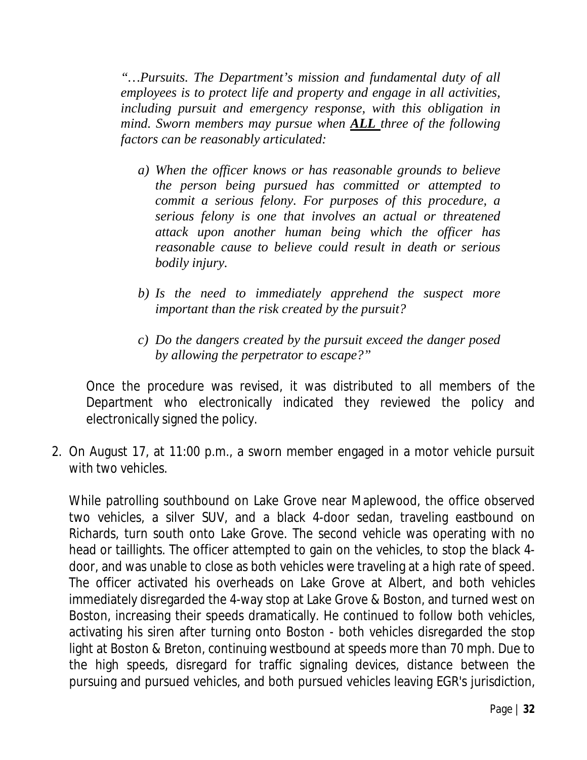*"…Pursuits. The Department's mission and fundamental duty of all employees is to protect life and property and engage in all activities, including pursuit and emergency response, with this obligation in mind. Sworn members may pursue when ALL three of the following factors can be reasonably articulated:*

- *a) When the officer knows or has reasonable grounds to believe the person being pursued has committed or attempted to commit a serious felony. For purposes of this procedure, a serious felony is one that involves an actual or threatened attack upon another human being which the officer has reasonable cause to believe could result in death or serious bodily injury.*
- *b) Is the need to immediately apprehend the suspect more important than the risk created by the pursuit?*
- *c) Do the dangers created by the pursuit exceed the danger posed by allowing the perpetrator to escape?"*

Once the procedure was revised, it was distributed to all members of the Department who electronically indicated they reviewed the policy and electronically signed the policy.

2. On August 17, at 11:00 p.m., a sworn member engaged in a motor vehicle pursuit with two vehicles.

While patrolling southbound on Lake Grove near Maplewood, the office observed two vehicles, a silver SUV, and a black 4-door sedan, traveling eastbound on Richards, turn south onto Lake Grove. The second vehicle was operating with no head or taillights. The officer attempted to gain on the vehicles, to stop the black 4 door, and was unable to close as both vehicles were traveling at a high rate of speed. The officer activated his overheads on Lake Grove at Albert, and both vehicles immediately disregarded the 4-way stop at Lake Grove & Boston, and turned west on Boston, increasing their speeds dramatically. He continued to follow both vehicles, activating his siren after turning onto Boston - both vehicles disregarded the stop light at Boston & Breton, continuing westbound at speeds more than 70 mph. Due to the high speeds, disregard for traffic signaling devices, distance between the pursuing and pursued vehicles, and both pursued vehicles leaving EGR's jurisdiction,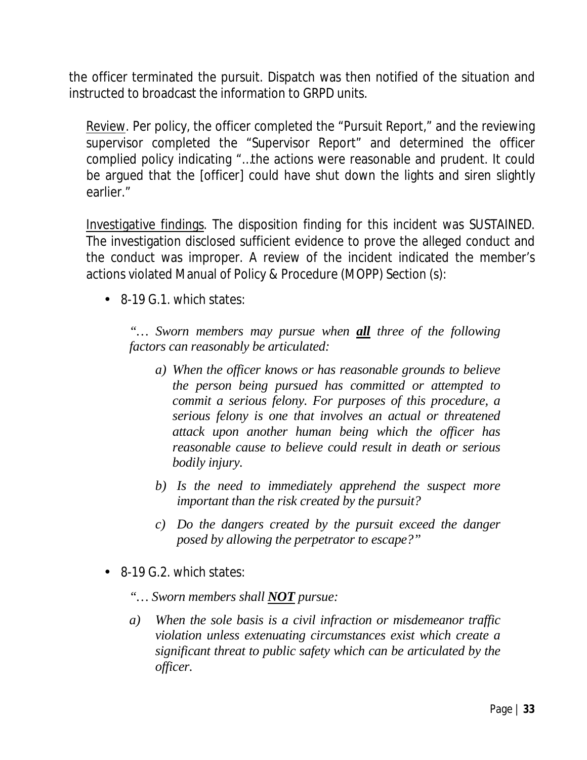the officer terminated the pursuit. Dispatch was then notified of the situation and instructed to broadcast the information to GRPD units.

Review. Per policy, the officer completed the "Pursuit Report," and the reviewing supervisor completed the "Supervisor Report" and determined the officer complied policy indicating "…the actions were reasonable and prudent. It could be argued that the [officer] could have shut down the lights and siren slightly earlier."

Investigative findings. The disposition finding for this incident was SUSTAINED. The investigation disclosed sufficient evidence to prove the alleged conduct and the conduct was improper. A review of the incident indicated the member's actions violated Manual of Policy & Procedure (MOPP) Section (s):

8-19 G.1. which states:

*"… Sworn members may pursue when all three of the following factors can reasonably be articulated:*

- *a) When the officer knows or has reasonable grounds to believe the person being pursued has committed or attempted to commit a serious felony. For purposes of this procedure, a serious felony is one that involves an actual or threatened attack upon another human being which the officer has reasonable cause to believe could result in death or serious bodily injury.*
- *b) Is the need to immediately apprehend the suspect more important than the risk created by the pursuit?*
- *c) Do the dangers created by the pursuit exceed the danger posed by allowing the perpetrator to escape?"*
- 8-19 G.2. which states:
	- *"… Sworn members shall NOT pursue:*
	- *a) When the sole basis is a civil infraction or misdemeanor traffic violation unless extenuating circumstances exist which create a significant threat to public safety which can be articulated by the officer.*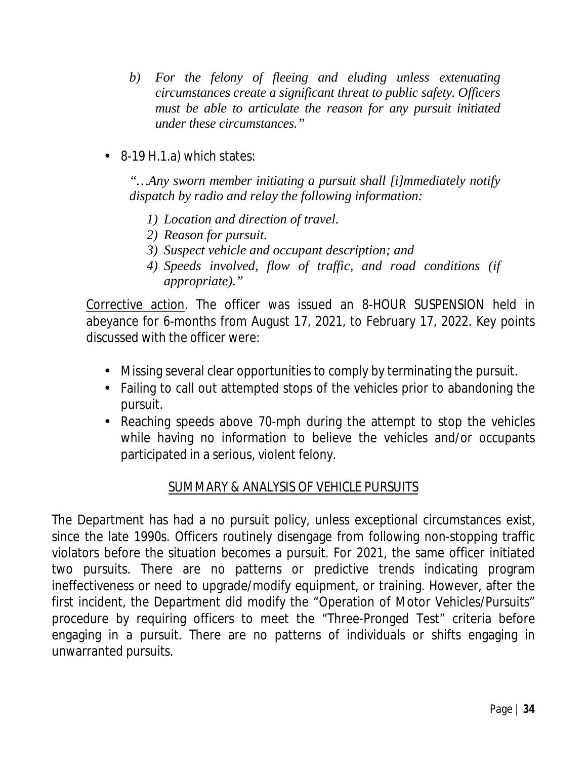- *b) For the felony of fleeing and eluding unless extenuating circumstances create a significant threat to public safety. Officers must be able to articulate the reason for any pursuit initiated under these circumstances."*
- 8-19 H.1.a) which states:

*"…Any sworn member initiating a pursuit shall [i]mmediately notify dispatch by radio and relay the following information:*

- *1) Location and direction of travel.*
- *2) Reason for pursuit.*
- *3) Suspect vehicle and occupant description; and*
- *4) Speeds involved, flow of traffic, and road conditions (if appropriate)."*

Corrective action. The officer was issued an 8-HOUR SUSPENSION held in abeyance for 6-months from August 17, 2021, to February 17, 2022. Key points discussed with the officer were:

- Missing several clear opportunities to comply by terminating the pursuit.
- Failing to call out attempted stops of the vehicles prior to abandoning the pursuit.
- Reaching speeds above 70-mph during the attempt to stop the vehicles while having no information to believe the vehicles and/or occupants participated in a serious, violent felony.

#### SUMMARY & ANALYSIS OF VEHICLE PURSUITS

The Department has had a no pursuit policy, unless exceptional circumstances exist, since the late 1990s. Officers routinely disengage from following non-stopping traffic violators before the situation becomes a pursuit. For 2021, the same officer initiated two pursuits. There are no patterns or predictive trends indicating program ineffectiveness or need to upgrade/modify equipment, or training. However, after the first incident, the Department did modify the "Operation of Motor Vehicles/Pursuits" procedure by requiring officers to meet the "Three-Pronged Test" criteria before engaging in a pursuit. There are no patterns of individuals or shifts engaging in unwarranted pursuits.